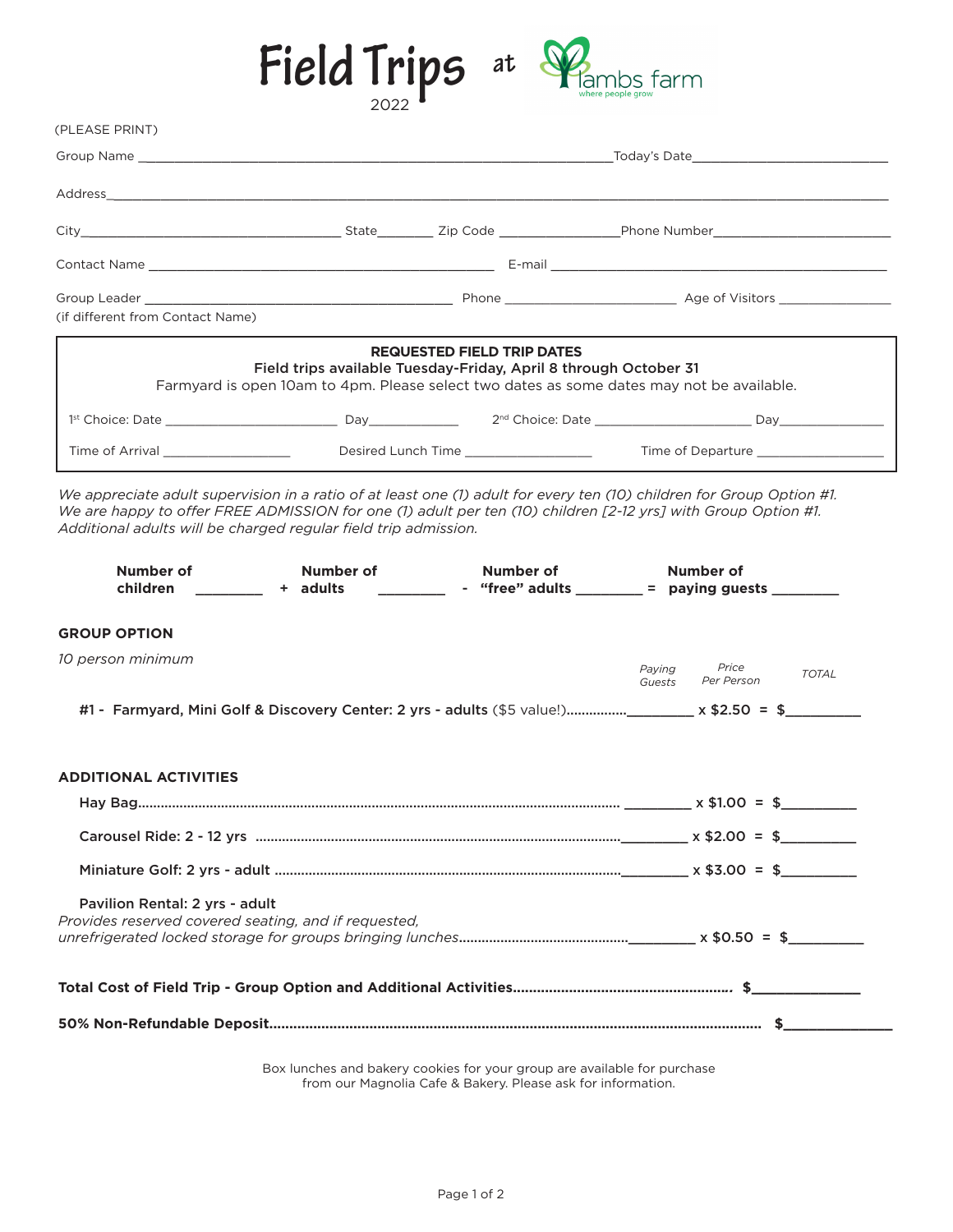# Field Trips at



Group Name \_\_\_\_\_\_\_\_\_\_\_\_\_\_\_\_\_\_\_\_\_\_\_\_\_\_\_\_\_\_\_\_\_\_\_\_\_\_\_\_\_\_\_\_\_\_\_\_\_\_\_Today's Date\_\_\_\_\_\_\_\_\_\_\_\_\_\_\_\_\_\_\_\_\_ Address\_\_\_\_\_\_\_\_\_\_\_\_\_\_\_\_\_\_\_\_\_\_\_\_\_\_\_\_\_\_\_\_\_\_\_\_\_\_\_\_\_\_\_\_\_\_\_\_\_\_\_\_\_\_\_\_\_\_\_\_\_\_\_\_\_\_\_\_\_\_\_\_\_\_\_\_\_\_\_\_\_\_\_\_ City\_\_\_\_\_\_\_\_\_\_\_\_\_\_\_\_\_\_\_\_\_\_\_\_\_\_\_\_ State\_\_\_\_\_\_ Zip Code \_\_\_\_\_\_\_\_\_\_\_\_\_Phone Number\_\_\_\_\_\_\_\_\_\_\_\_\_\_\_\_\_\_\_ Contact Name \_\_\_\_\_\_\_\_\_\_\_\_\_\_\_\_\_\_\_\_\_\_\_\_\_\_\_\_\_\_\_\_\_\_\_\_\_ E-mail \_\_\_\_\_\_\_\_\_\_\_\_\_\_\_\_\_\_\_\_\_\_\_\_\_\_\_\_\_\_\_\_\_\_\_\_ (PLEASE PRINT)

| (if different from Contact Name)                                                                                                                                                                                                        |                                                                                                                                                                                                                                |                                   | Age of Visitors _______________                                                                                                                                                                                                                                                                                                                                                                                                                                          |
|-----------------------------------------------------------------------------------------------------------------------------------------------------------------------------------------------------------------------------------------|--------------------------------------------------------------------------------------------------------------------------------------------------------------------------------------------------------------------------------|-----------------------------------|--------------------------------------------------------------------------------------------------------------------------------------------------------------------------------------------------------------------------------------------------------------------------------------------------------------------------------------------------------------------------------------------------------------------------------------------------------------------------|
|                                                                                                                                                                                                                                         | Field trips available Tuesday-Friday, April 8 through October 31<br>Farmyard is open 10am to 4pm. Please select two dates as some dates may not be available.                                                                  | <b>REQUESTED FIELD TRIP DATES</b> |                                                                                                                                                                                                                                                                                                                                                                                                                                                                          |
| 1 <sup>st</sup> Choice: Date and the state of the state of the state of the state of the state of the state of the state of the state of the state of the state of the state of the state of the state of the state of the state of the | Day and the property of the state of the state of the state of the state of the state of the state of the state of the state of the state of the state of the state of the state of the state of the state of the state of the |                                   | 2 <sup>nd</sup> Choice: Date and the state and the state and the state and the state and the state and the state and the state of the state and the state and the state and the state and the state and the state and the state and the<br>David and the contract of the contract of the contract of the contract of the contract of the contract of the contract of the contract of the contract of the contract of the contract of the contract of the contract of the |
| Time of Arrival and the state of Arrival                                                                                                                                                                                                | Desired Lunch Time <b>Example 2018</b>                                                                                                                                                                                         |                                   | Time of Departure                                                                                                                                                                                                                                                                                                                                                                                                                                                        |

*We appreciate adult supervision in a ratio of at least one (1) adult for every ten (10) children for Group Option #1. We are happy to offer FREE ADMISSION for one (1) adult per ten (10) children [2-12 yrs] with Group Option #1. Additional adults will be charged regular field trip admission.*

| <b>Number of</b><br><b>children</b>                                                                      | <b>Number of</b><br>+ adults | Number of<br>________________ - "free" adults ___________ = paying guests ___________ | Number of                               |              |
|----------------------------------------------------------------------------------------------------------|------------------------------|---------------------------------------------------------------------------------------|-----------------------------------------|--------------|
| <b>GROUP OPTION</b>                                                                                      |                              |                                                                                       |                                         |              |
| 10 person minimum                                                                                        |                              |                                                                                       | Price<br>Paving<br>Per Person<br>Guests | <b>TOTAL</b> |
| #1 - Farmyard, Mini Golf & Discovery Center: 2 yrs - adults (\$5 value!)________ x \$2.50 = \$__________ |                              |                                                                                       |                                         |              |
| <b>ADDITIONAL ACTIVITIES</b>                                                                             |                              |                                                                                       |                                         |              |
|                                                                                                          |                              |                                                                                       |                                         |              |
|                                                                                                          |                              |                                                                                       |                                         |              |
|                                                                                                          |                              |                                                                                       |                                         |              |
| Pavilion Rental: 2 vrs - adult<br>Provides reserved covered seating, and if requested,                   |                              |                                                                                       |                                         |              |
|                                                                                                          |                              |                                                                                       |                                         |              |
|                                                                                                          |                              |                                                                                       |                                         |              |

Box lunches and bakery cookies for your group are available for purchase from our Magnolia Cafe & Bakery. Please ask for information.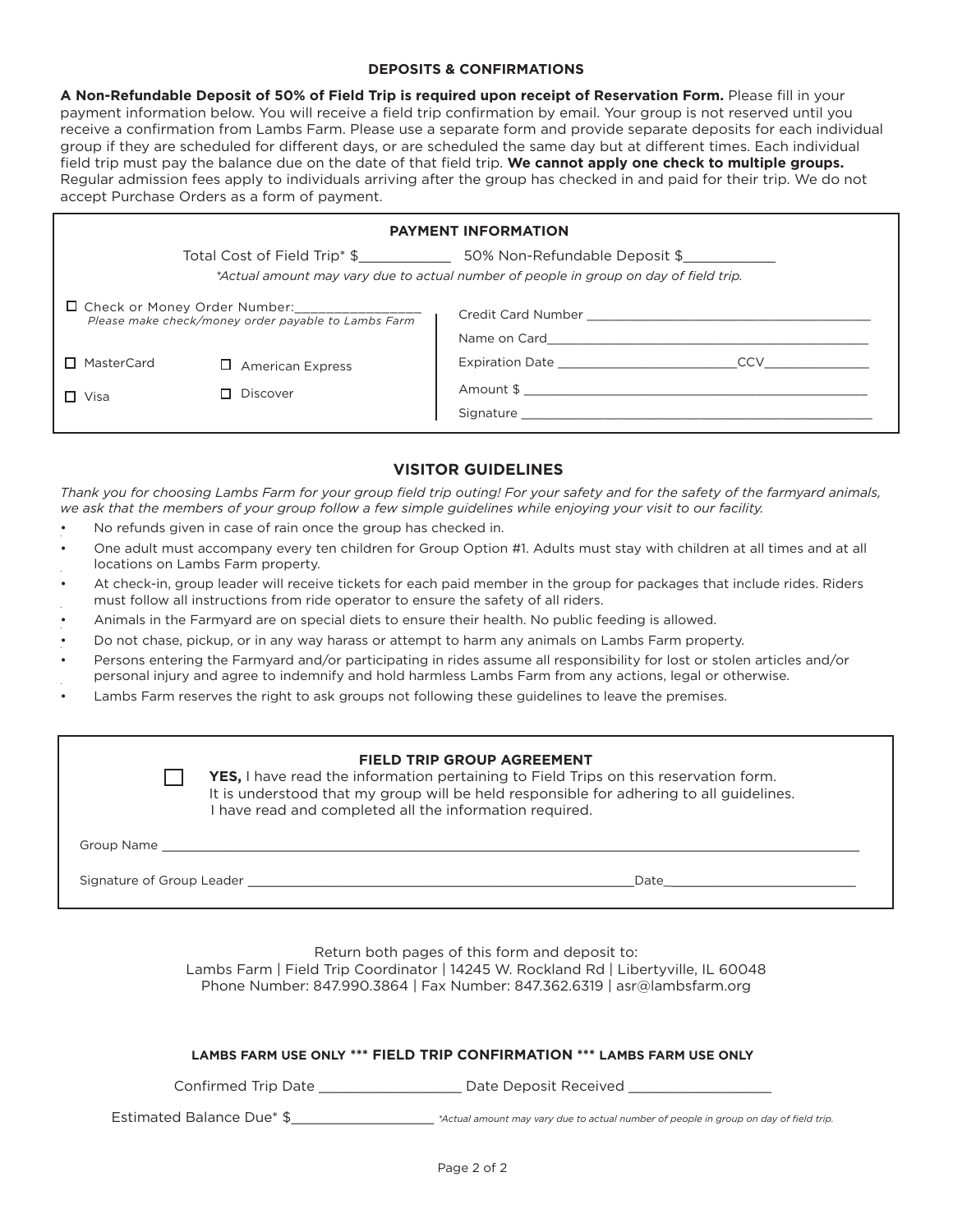# **DEPOSITS & CONFIRMATIONS**

**A Non-Refundable Deposit of 50% of Field Trip is required upon receipt of Reservation Form.** Please fill in your payment information below. You will receive a field trip confirmation by email. Your group is not reserved until you receive a confirmation from Lambs Farm. Please use a separate form and provide separate deposits for each individual group if they are scheduled for different days, or are scheduled the same day but at different times. Each individual field trip must pay the balance due on the date of that field trip. **We cannot apply one check to multiple groups.**  Regular admission fees apply to individuals arriving after the group has checked in and paid for their trip. We do not accept Purchase Orders as a form of payment.

| <b>PAYMENT INFORMATION</b>                                                                             |                         |                                                                                       |  |
|--------------------------------------------------------------------------------------------------------|-------------------------|---------------------------------------------------------------------------------------|--|
|                                                                                                        |                         | *Actual amount may vary due to actual number of people in group on day of field trip. |  |
| □ Check or Money Order Number:_________________<br>Please make check/money order payable to Lambs Farm |                         | Credit Card Number <b>Example 2018</b><br>Name on Card                                |  |
| □ MasterCard                                                                                           | <b>American Express</b> | <b>Expiration Date</b><br>CCV                                                         |  |
| $\Box$ Visa                                                                                            | Discover                | Signature                                                                             |  |

# **VISITOR GUIDELINES**

*Thank you for choosing Lambs Farm for your group field trip outing! For your safety and for the safety of the farmyard animals,*  we ask that the members of your group follow a few simple guidelines while enjoying your visit to our facility.

- No refunds given in case of rain once the group has checked in.
- One adult must accompany every ten children for Group Option #1. Adults must stay with children at all times and at all locations on Lambs Farm property.
- At check-in, group leader will receive tickets for each paid member in the group for packages that include rides. Riders must follow all instructions from ride operator to ensure the safety of all riders. •
- Animals in the Farmyard are on special diets to ensure their health. No public feeding is allowed.
- Do not chase, pickup, or in any way harass or attempt to harm any animals on Lambs Farm property.
- Persons entering the Farmyard and/or participating in rides assume all responsibility for lost or stolen articles and/or personal injury and agree to indemnify and hold harmless Lambs Farm from any actions, legal or otherwise. •
- Lambs Farm reserves the right to ask groups not following these guidelines to leave the premises.

## **FIELD TRIP GROUP AGREEMENT**

**TVES,** I have read the information pertaining to Field Trips on this reservation form. It is understood that my group will be held responsible for adhering to all guidelines. I have read and completed all the information required.

| Group Name                |      |
|---------------------------|------|
| Signature of Group Leader | Date |

Return both pages of this form and deposit to: Lambs Farm | Field Trip Coordinator | 14245 W. Rockland Rd | Libertyville, IL 60048 Phone Number: 847.990.3864 | Fax Number: 847.362.6319 | asr@lambsfarm.org

## **LAMBS FARM USE ONLY \*\*\* FIELD TRIP CONFIRMATION \*\*\* LAMBS FARM USE ONLY**

Confirmed Trip Date \_\_\_\_\_\_\_\_\_\_\_\_\_\_\_\_\_\_\_\_\_\_ Date Deposit Received \_\_\_\_\_

Estimated Balance Due\* \$\_\_\_\_\_\_\_\_\_\_\_\_\_\_\_\_\_ *\*Actual amount may vary due to actual number of people in group on day of field trip.*